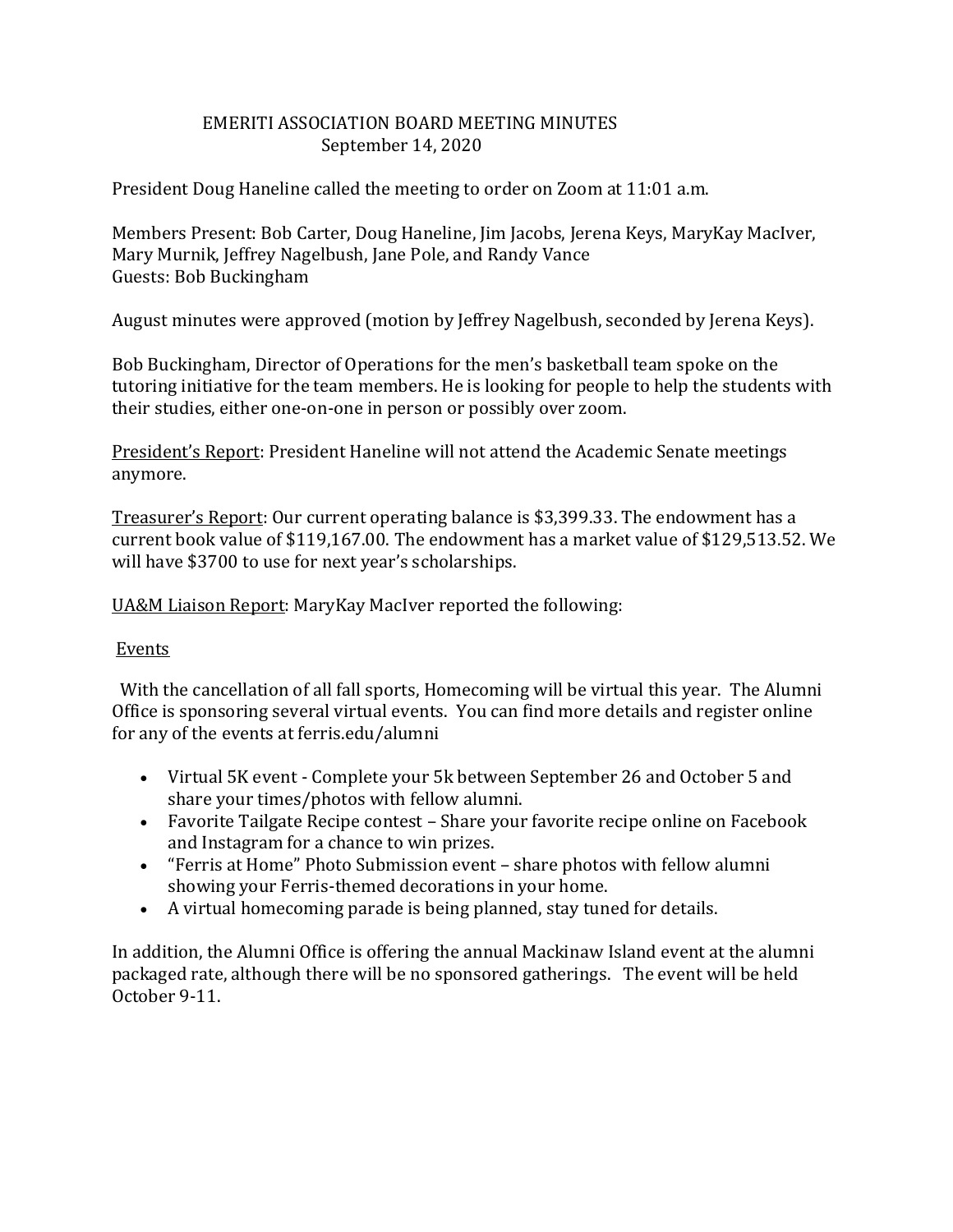# EMERITI ASSOCIATION BOARD MEETING MINUTES September 14, 2020

President Doug Haneline called the meeting to order on Zoom at 11:01 a.m.

Members Present: Bob Carter, Doug Haneline, Jim Jacobs, Jerena Keys, MaryKay MacIver, Mary Murnik, Jeffrey Nagelbush, Jane Pole, and Randy Vance Guests: Bob Buckingham

August minutes were approved (motion by Jeffrey Nagelbush, seconded by Jerena Keys).

Bob Buckingham, Director of Operations for the men's basketball team spoke on the tutoring initiative for the team members. He is looking for people to help the students with their studies, either one-on-one in person or possibly over zoom.

President's Report: President Haneline will not attend the Academic Senate meetings anymore.

Treasurer's Report: Our current operating balance is \$3,399.33. The endowment has a current book value of \$119,167.00. The endowment has a market value of \$129,513.52. We will have \$3700 to use for next year's scholarships.

UA&M Liaison Report: MaryKay MacIver reported the following:

## Events

With the cancellation of all fall sports, Homecoming will be virtual this year. The Alumni Office is sponsoring several virtual events. You can find more details and register online for any of the events at ferris.edu/alumni

- Virtual 5K event Complete your 5k between September 26 and October 5 and share your times/photos with fellow alumni.
- Favorite Tailgate Recipe contest Share your favorite recipe online on Facebook and Instagram for a chance to win prizes.
- "Ferris at Home" Photo Submission event share photos with fellow alumni showing your Ferris-themed decorations in your home.
- A virtual homecoming parade is being planned, stay tuned for details.

In addition, the Alumni Office is offering the annual Mackinaw Island event at the alumni packaged rate, although there will be no sponsored gatherings. The event will be held October 9-11.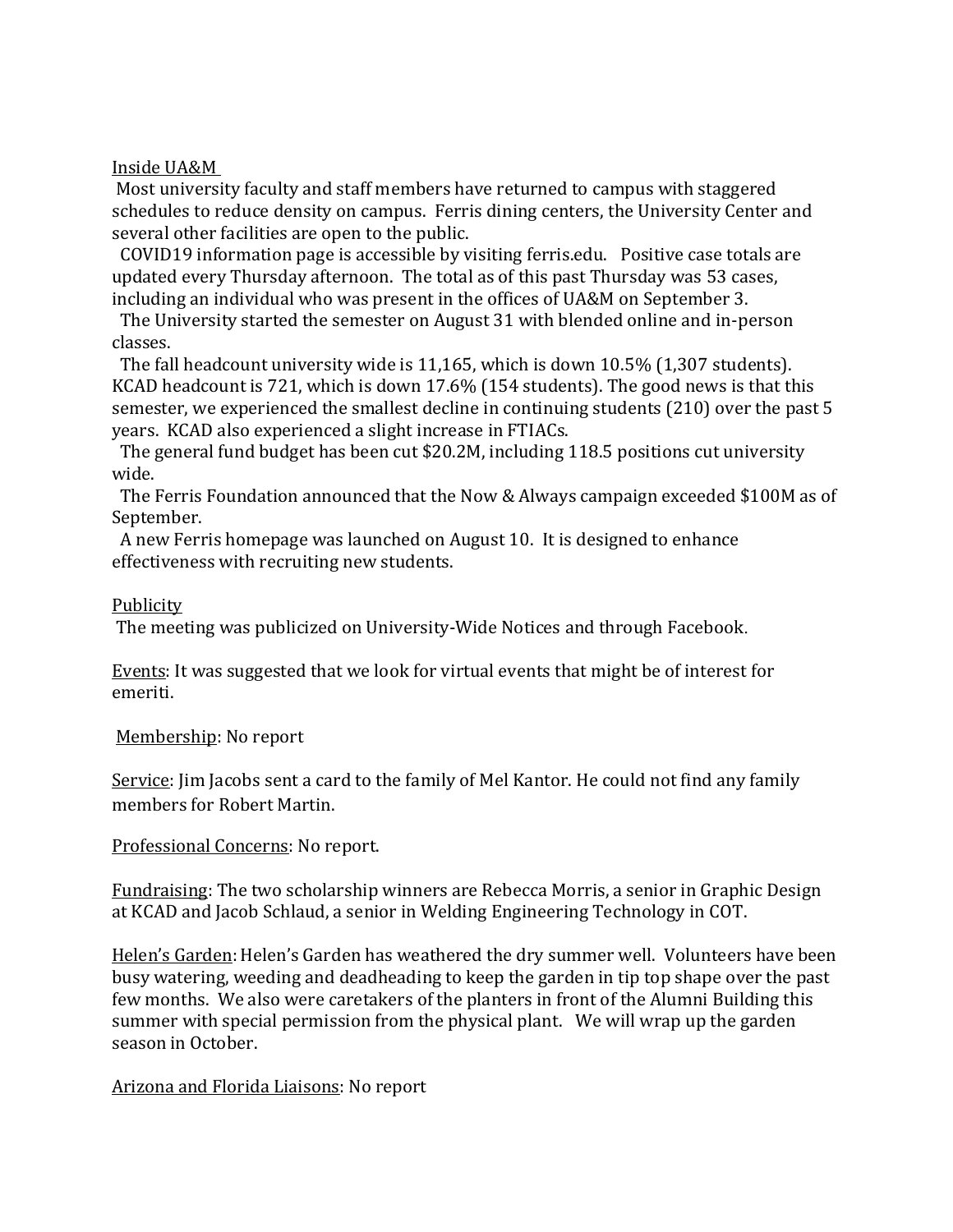#### Inside UA&M

Most university faculty and staff members have returned to campus with staggered schedules to reduce density on campus. Ferris dining centers, the University Center and several other facilities are open to the public.

COVID19 information page is accessible by visiting ferris.edu. Positive case totals are updated every Thursday afternoon. The total as of this past Thursday was 53 cases, including an individual who was present in the offices of UA&M on September 3.

 The University started the semester on August 31 with blended online and in-person classes.

 The fall headcount university wide is 11,165, which is down 10.5% (1,307 students). KCAD headcount is 721, which is down 17.6% (154 students). The good news is that this semester, we experienced the smallest decline in continuing students (210) over the past 5 years. KCAD also experienced a slight increase in FTIACs.

 The general fund budget has been cut \$20.2M, including 118.5 positions cut university wide.

 The Ferris Foundation announced that the Now & Always campaign exceeded \$100M as of September.

 A new Ferris homepage was launched on August 10. It is designed to enhance effectiveness with recruiting new students.

### Publicity

The meeting was publicized on University-Wide Notices and through Facebook.

Events: It was suggested that we look for virtual events that might be of interest for emeriti.

Membership: No report

Service: Jim Jacobs sent a card to the family of Mel Kantor. He could not find any family members for Robert Martin.

### Professional Concerns: No report.

Fundraising: The two scholarship winners are Rebecca Morris, a senior in Graphic Design at KCAD and Jacob Schlaud, a senior in Welding Engineering Technology in COT.

Helen's Garden: Helen's Garden has weathered the dry summer well. Volunteers have been busy watering, weeding and deadheading to keep the garden in tip top shape over the past few months. We also were caretakers of the planters in front of the Alumni Building this summer with special permission from the physical plant. We will wrap up the garden season in October.

### Arizona and Florida Liaisons: No report